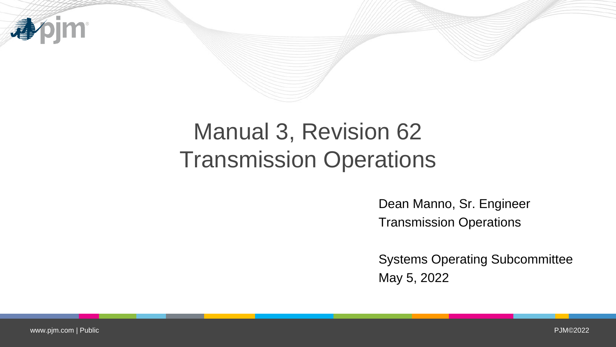

# Manual 3, Revision 62 Transmission Operations

Dean Manno, Sr. Engineer Transmission Operations

Systems Operating Subcommittee May 5, 2022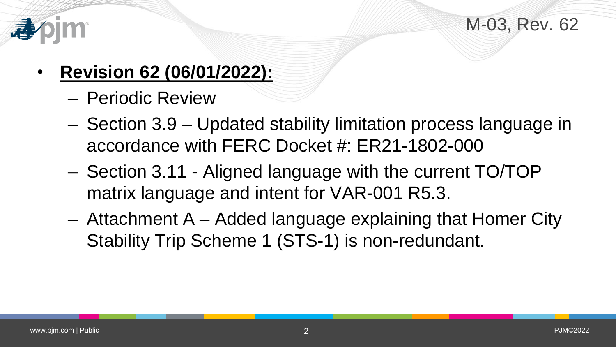



- **Revision 62 (06/01/2022):**
	- Periodic Review
	- Section 3.9 Updated stability limitation process language in accordance with FERC Docket #: ER21-1802-000
	- Section 3.11 Aligned language with the current TO/TOP matrix language and intent for VAR-001 R5.3.
	- Attachment A Added language explaining that Homer City Stability Trip Scheme 1 (STS-1) is non-redundant.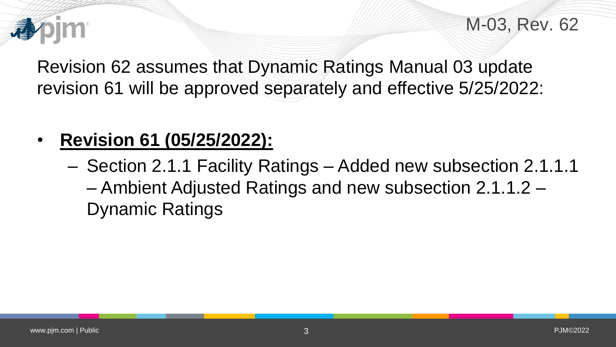

M-03, Rev. 62

Revision 62 assumes that Dynamic Ratings Manual 03 update revision 61 will be approved separately and effective 5/25/2022:

# • **Revision 61 (05/25/2022):**

– Section 2.1.1 Facility Ratings – Added new subsection 2.1.1.1 – Ambient Adjusted Ratings and new subsection 2.1.1.2 – Dynamic Ratings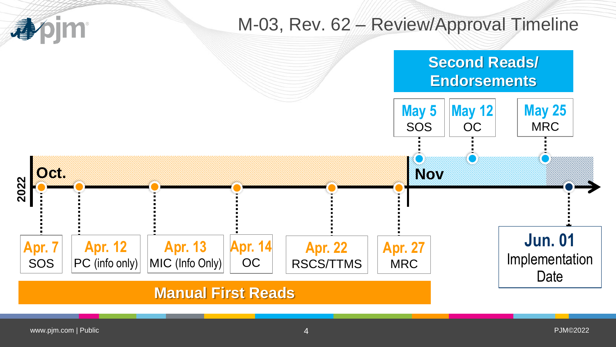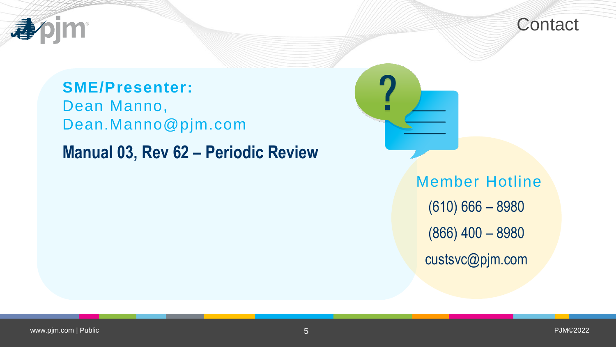



#### **SME/Presenter:**

Dean Manno, Dean.Manno@pjm.com

# **Manual 03, Rev 62 – Periodic Review**

Member Hotline (610) 666 – 8980 (866) 400 – 8980 custsvc@pjm.com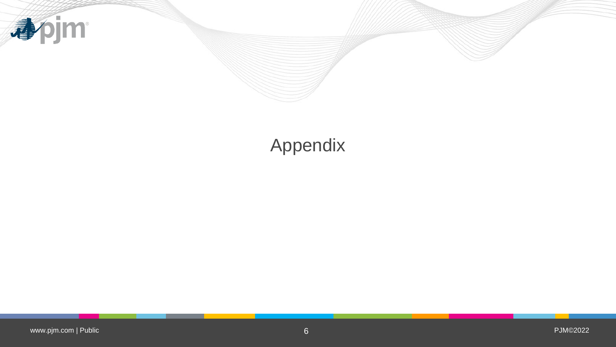

# Appendix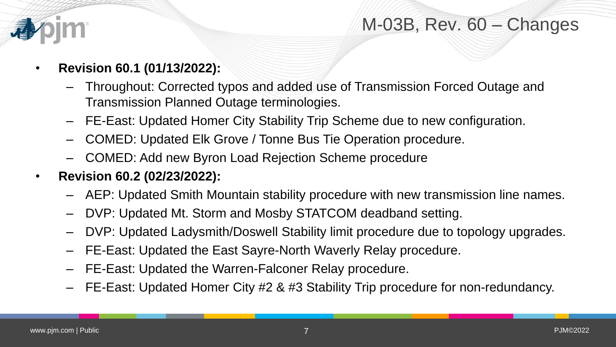

#### M-03B, Rev. 60 – Changes

- **Revision 60.1 (01/13/2022):**
	- Throughout: Corrected typos and added use of Transmission Forced Outage and Transmission Planned Outage terminologies.
	- FE-East: Updated Homer City Stability Trip Scheme due to new configuration.
	- COMED: Updated Elk Grove / Tonne Bus Tie Operation procedure.
	- COMED: Add new Byron Load Rejection Scheme procedure
- **Revision 60.2 (02/23/2022):**
	- AEP: Updated Smith Mountain stability procedure with new transmission line names.
	- DVP: Updated Mt. Storm and Mosby STATCOM deadband setting.
	- DVP: Updated Ladysmith/Doswell Stability limit procedure due to topology upgrades.
	- FE-East: Updated the East Sayre-North Waverly Relay procedure.
	- FE-East: Updated the Warren-Falconer Relay procedure.
	- FE-East: Updated Homer City #2 & #3 Stability Trip procedure for non-redundancy.